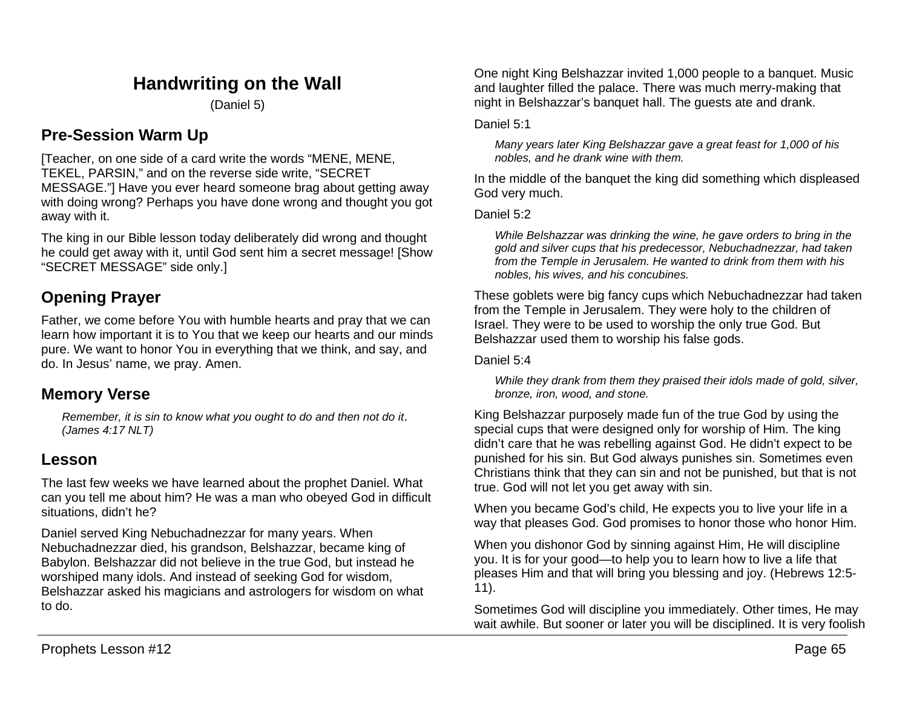# **Handwriting on the Wall**

(Daniel 5)

# **Pre-Session Warm Up**

[Teacher, on one side of a card write the words "MENE, MENE, TEKEL, PARSIN," and on the reverse side write, "SECRET MESSAGE."] Have you ever heard someone brag about getting away with doing wrong? Perhaps you have done wrong and thought you got away with it.

The king in our Bible lesson today deliberately did wrong and thought he could get away with it, until God sent him a secret message! [Show "SECRET MESSAGE" side only.]

# **Opening Prayer**

Father, we come before You with humble hearts and pray that we can learn how important it is to You that we keep our hearts and our minds pure. We want to honor You in everything that we think, and say, and do. In Jesus' name, we pray. Amen.

## **Memory Verse**

*Remember, it is sin to know what you ought to do and then not do it. (James 4:17 NLT)*

# **Lesson**

The last few weeks we have learned about the prophet Daniel. What can you tell me about him? He was a man who obeyed God in difficult situations, didn't he?

Daniel served King Nebuchadnezzar for many years. When Nebuchadnezzar died, his grandson, Belshazzar, became king of Babylon. Belshazzar did not believe in the true God, but instead he worshiped many idols. And instead of seeking God for wisdom, Belshazzar asked his magicians and astrologers for wisdom on what to do.

One night King Belshazzar invited 1,000 people to a banquet. Music and laughter filled the palace. There was much merry-making that night in Belshazzar's banquet hall. The guests ate and drank.

### Daniel 5:1

*Many years later King Belshazzar gave a great feast for 1,000 of his nobles, and he drank wine with them.*

In the middle of the banquet the king did something which displeased God very much.

Daniel 5:2

*While Belshazzar was drinking the wine, he gave orders to bring in the gold and silver cups that his predecessor, Nebuchadnezzar, had taken from the Temple in Jerusalem. He wanted to drink from them with his nobles, his wives, and his concubines.*

These goblets were big fancy cups which Nebuchadnezzar had taken from the Temple in Jerusalem. They were holy to the children of Israel. They were to be used to worship the only true God. But Belshazzar used them to worship his false gods.

Daniel 5:4

*While they drank from them they praised their idols made of gold, silver, bronze, iron, wood, and stone.*

King Belshazzar purposely made fun of the true God by using the special cups that were designed only for worship of Him. The king didn't care that he was rebelling against God. He didn't expect to be punished for his sin. But God always punishes sin. Sometimes even Christians think that they can sin and not be punished, but that is not true. God will not let you get away with sin.

When you became God's child, He expects you to live your life in a way that pleases God. God promises to honor those who honor Him.

When you dishonor God by sinning against Him, He will discipline you. It is for your good—to help you to learn how to live a life that pleases Him and that will bring you blessing and joy. (Hebrews 12:5- 11).

Sometimes God will discipline you immediately. Other times, He may wait awhile. But sooner or later you will be disciplined. It is very foolish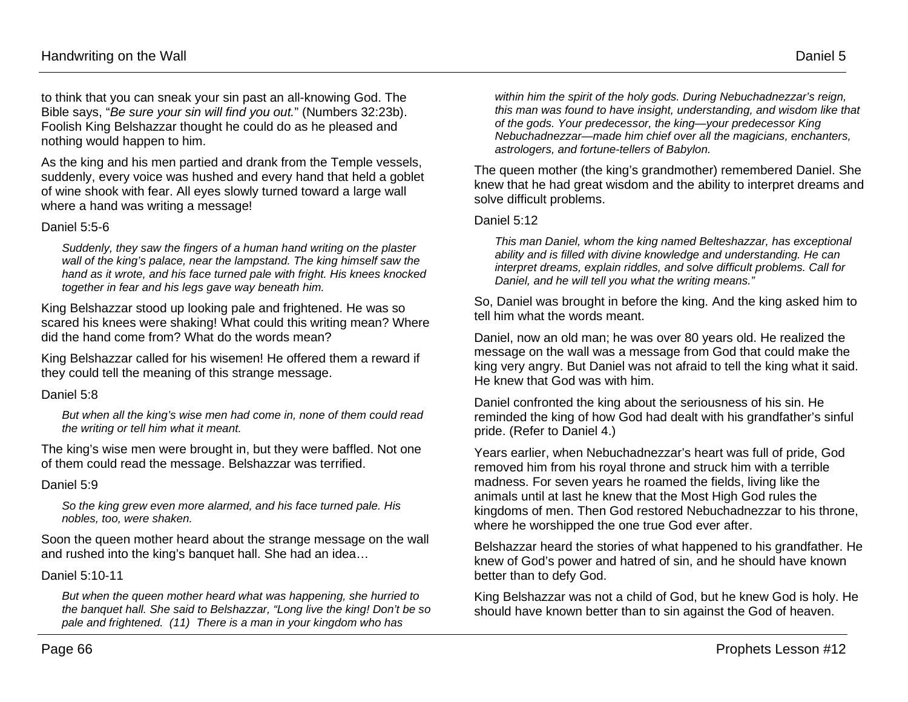to think that you can sneak your sin past an all-knowing God. The Bible says, "*Be sure your sin will find you out.*" (Numbers 32:23b). Foolish King Belshazzar thought he could do as he pleased and nothing would happen to him.

As the king and his men partied and drank from the Temple vessels, suddenly, every voice was hushed and every hand that held a goblet of wine shook with fear. All eyes slowly turned toward a large wall where a hand was writing a message!

#### Daniel 5:5-6

*Suddenly, they saw the fingers of a human hand writing on the plaster wall of the king's palace, near the lampstand. The king himself saw the hand as it wrote, and his face turned pale with fright. His knees knocked together in fear and his legs gave way beneath him.*

King Belshazzar stood up looking pale and frightened. He was so scared his knees were shaking! What could this writing mean? Where did the hand come from? What do the words mean?

King Belshazzar called for his wisemen! He offered them a reward if they could tell the meaning of this strange message.

### Daniel 5:8

*But when all the king's wise men had come in, none of them could read the writing or tell him what it meant.*

The king's wise men were brought in, but they were baffled. Not one of them could read the message. Belshazzar was terrified.

### Daniel 5:9

*So the king grew even more alarmed, and his face turned pale. His nobles, too, were shaken.*

Soon the queen mother heard about the strange message on the wall and rushed into the king's banquet hall. She had an idea…

#### Daniel 5:10-11

*But when the queen mother heard what was happening, she hurried to the banquet hall. She said to Belshazzar, "Long live the king! Don't be so pale and frightened. (11) There is a man in your kingdom who has* 

*within him the spirit of the holy gods. During Nebuchadnezzar's reign, this man was found to have insight, understanding, and wisdom like that of the gods. Your predecessor, the king—your predecessor King Nebuchadnezzar—made him chief over all the magicians, enchanters, astrologers, and fortune-tellers of Babylon.*

The queen mother (the king's grandmother) remembered Daniel. She knew that he had great wisdom and the ability to interpret dreams and solve difficult problems.

#### Daniel 5:12

*This man Daniel, whom the king named Belteshazzar, has exceptional ability and is filled with divine knowledge and understanding. He can interpret dreams, explain riddles, and solve difficult problems. Call for Daniel, and he will tell you what the writing means."*

So, Daniel was brought in before the king. And the king asked him to tell him what the words meant.

Daniel, now an old man; he was over 80 years old. He realized the message on the wall was a message from God that could make the king very angry. But Daniel was not afraid to tell the king what it said. He knew that God was with him.

Daniel confronted the king about the seriousness of his sin. He reminded the king of how God had dealt with his grandfather's sinful pride. (Refer to Daniel 4.)

Years earlier, when Nebuchadnezzar's heart was full of pride, God removed him from his royal throne and struck him with a terrible madness. For seven years he roamed the fields, living like the animals until at last he knew that the Most High God rules the kingdoms of men. Then God restored Nebuchadnezzar to his throne, where he worshipped the one true God ever after.

Belshazzar heard the stories of what happened to his grandfather. He knew of God's power and hatred of sin, and he should have known better than to defy God.

King Belshazzar was not a child of God, but he knew God is holy. He should have known better than to sin against the God of heaven.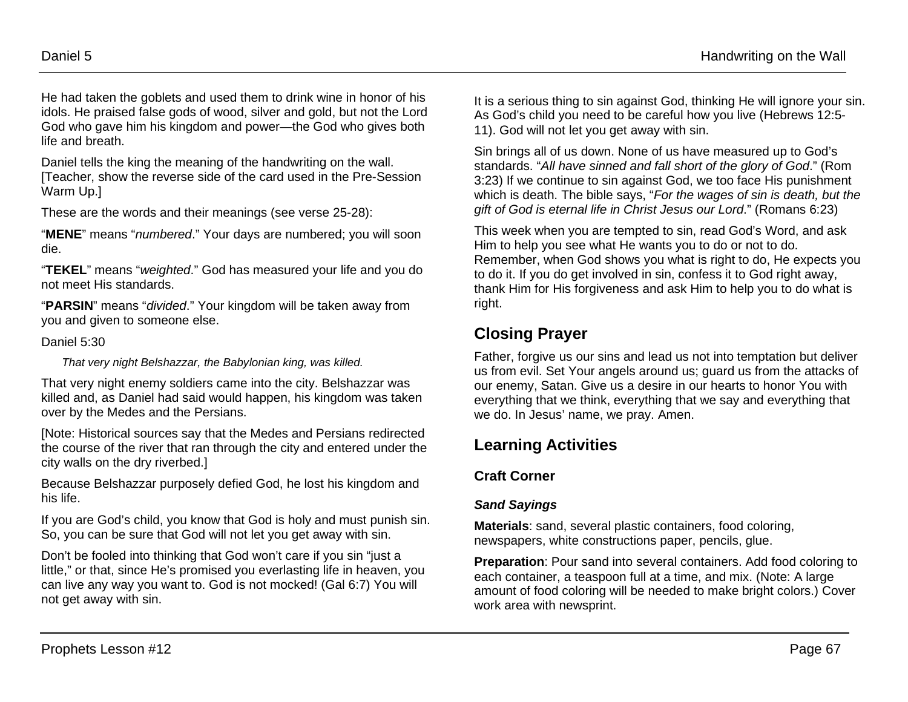He had taken the goblets and used them to drink wine in honor of his idols. He praised false gods of wood, silver and gold, but not the Lord God who gave him his kingdom and power—the God who gives both life and breath.

Daniel tells the king the meaning of the handwriting on the wall. [Teacher, show the reverse side of the card used in the Pre-Session Warm Up.]

These are the words and their meanings (see verse 25-28):

"**MENE**" means "*numbered*." Your days are numbered; you will soon die.

"**TEKEL**" means "*weighted*." God has measured your life and you do not meet His standards.

"**PARSIN**" means "*divided*." Your kingdom will be taken away from you and given to someone else.

#### Daniel 5:30

*That very night Belshazzar, the Babylonian king, was killed.*

That very night enemy soldiers came into the city. Belshazzar was killed and, as Daniel had said would happen, his kingdom was taken over by the Medes and the Persians.

[Note: Historical sources say that the Medes and Persians redirected the course of the river that ran through the city and entered under the city walls on the dry riverbed.]

Because Belshazzar purposely defied God, he lost his kingdom and his life.

If you are God's child, you know that God is holy and must punish sin. So, you can be sure that God will not let you get away with sin.

Don't be fooled into thinking that God won't care if you sin "just a little," or that, since He's promised you everlasting life in heaven, you can live any way you want to. God is not mocked! (Gal 6:7) You will not get away with sin.

It is a serious thing to sin against God, thinking He will ignore your sin. As God's child you need to be careful how you live (Hebrews 12:5- 11). God will not let you get away with sin.

Sin brings all of us down. None of us have measured up to God's standards. "*All have sinned and fall short of the glory of God*." (Rom 3:23) If we continue to sin against God, we too face His punishment which is death. The bible says, "*For the wages of sin is death, but the gift of God is eternal life in Christ Jesus our Lord*." (Romans 6:23)

This week when you are tempted to sin, read God's Word, and ask Him to help you see what He wants you to do or not to do. Remember, when God shows you what is right to do, He expects you to do it. If you do get involved in sin, confess it to God right away, thank Him for His forgiveness and ask Him to help you to do what is right.

# **Closing Prayer**

Father, forgive us our sins and lead us not into temptation but deliver us from evil. Set Your angels around us; guard us from the attacks of our enemy, Satan. Give us a desire in our hearts to honor You with everything that we think, everything that we say and everything that we do. In Jesus' name, we pray. Amen.

# **Learning Activities**

## **Craft Corner**

## *Sand Sayings*

**Materials**: sand, several plastic containers, food coloring, newspapers, white constructions paper, pencils, glue.

**Preparation**: Pour sand into several containers. Add food coloring to each container, a teaspoon full at a time, and mix. (Note: A large amount of food coloring will be needed to make bright colors.) Cover work area with newsprint.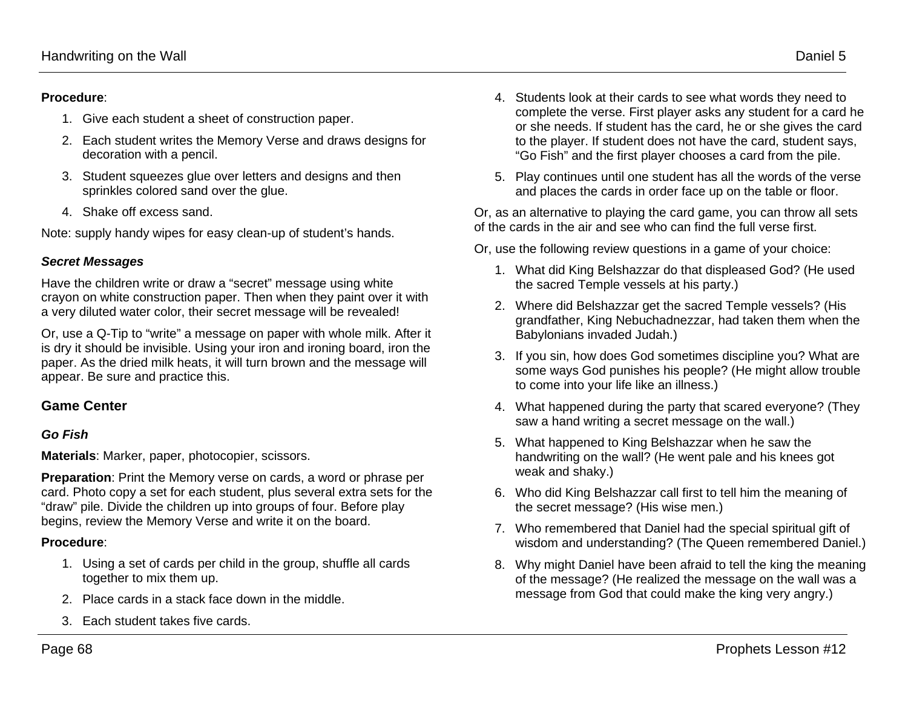### **Procedure**:

- 1. Give each student a sheet of construction paper.
- 2. Each student writes the Memory Verse and draws designs for decoration with a pencil.
- 3. Student squeezes glue over letters and designs and then sprinkles colored sand over the glue.
- 4. Shake off excess sand.

Note: supply handy wipes for easy clean-up of student's hands.

### *Secret Messages*

Have the children write or draw a "secret" message using white crayon on white construction paper. Then when they paint over it with a very diluted water color, their secret message will be revealed!

Or, use a Q-Tip to "write" a message on paper with whole milk. After it is dry it should be invisible. Using your iron and ironing board, iron the paper. As the dried milk heats, it will turn brown and the message will appear. Be sure and practice this.

## **Game Center**

### *Go Fish*

**Materials**: Marker, paper, photocopier, scissors.

**Preparation**: Print the Memory verse on cards, a word or phrase per card. Photo copy a set for each student, plus several extra sets for the "draw" pile. Divide the children up into groups of four. Before play begins, review the Memory Verse and write it on the board.

### **Procedure**:

- 1. Using a set of cards per child in the group, shuffle all cards together to mix them up.
- 2. Place cards in a stack face down in the middle.
- 3. Each student takes five cards.
- 4. Students look at their cards to see what words they need to complete the verse. First player asks any student for a card he or she needs. If student has the card, he or she gives the card to the player. If student does not have the card, student says, "Go Fish" and the first player chooses a card from the pile.
- 5. Play continues until one student has all the words of the verse and places the cards in order face up on the table or floor.

Or, as an alternative to playing the card game, you can throw all sets of the cards in the air and see who can find the full verse first.

Or, use the following review questions in a game of your choice:

- 1. What did King Belshazzar do that displeased God? (He used the sacred Temple vessels at his party.)
- 2. Where did Belshazzar get the sacred Temple vessels? (His grandfather, King Nebuchadnezzar, had taken them when the Babylonians invaded Judah.)
- 3. If you sin, how does God sometimes discipline you? What are some ways God punishes his people? (He might allow trouble to come into your life like an illness.)
- 4. What happened during the party that scared everyone? (They saw a hand writing a secret message on the wall.)
- 5. What happened to King Belshazzar when he saw the handwriting on the wall? (He went pale and his knees got weak and shaky.)
- 6. Who did King Belshazzar call first to tell him the meaning of the secret message? (His wise men.)
- 7. Who remembered that Daniel had the special spiritual gift of wisdom and understanding? (The Queen remembered Daniel.)
- 8. Why might Daniel have been afraid to tell the king the meaning of the message? (He realized the message on the wall was a message from God that could make the king very angry.)